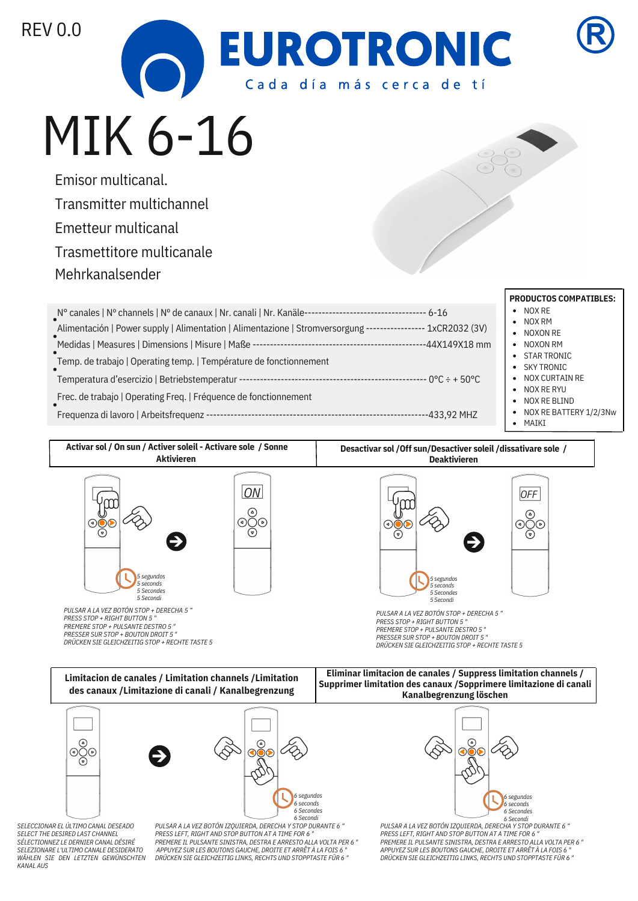



# MIK 6-16

Emisor multicanal. Transmitter multichannel Emetteur multicanal Trasmettitore multicanale Mehrkanalsender

| Nº canales   Nº channels   Nº de canaux   Nr. canali   Nr. Kanäle--                                         |                |
|-------------------------------------------------------------------------------------------------------------|----------------|
| Alimentación   Power supply   Alimentation   Alimentazione   Stromversorgung ---------------- 1xCR2032 (3V) |                |
| Medidas   Measures   Dimensions   Misure   Maße -                                                           | --44X149X18 mm |
| Temp. de trabajo   Operating temp.   Température de fonctionnement                                          |                |
| Temperatura d'esercizio   Betriebstemperatur --------------                                                 |                |
| Frec. de trabajo   Operating Freq.   Fréquence de fonctionnement                                            |                |
| Frequenza di lavoro   Arbeitsfrequenz -                                                                     | -433.92 MHZ    |

## **PRODUCTOS COMPATIBLES:**

- NOX RE
- NOX RM
- NOXON RE
- NOXON RM
- $\bullet$ STAR TRONIC
- SKY TRONIC  $\bullet$
- NOX CURTAIN RE  $\bullet$ NOX RE RYU
- NOX RE BLIND  $\bullet$
- 

# NOX RE BATTERY 1/2/3Nw

MAIKI



*6 Secondi*

*SELECCIONAR EL ÚLTIMO CANAL DESEADO SELECT THE DESIRED LAST CHANNEL SÉLECTIONNEZ LE DERNIER CANAL DÉSIRÉ SELEZIONARE L'ULTIMO CANALE DESIDERATO WÄHLEN SIE DEN LETZTEN GEWÜNSCHTEN KANAL AUS*

*PULSAR A LA VEZ BOTÓN IZQUIERDA, DERECHA Y STOP DURANTE 6 " PRESS LEFT, RIGHT AND STOP BUTTON AT A TIME FOR 6 " PREMERE IL PULSANTE SINISTRA, DESTRA E ARRESTO ALLA VOLTA PER 6 " APPUYEZ SUR LES BOUTONS GAUCHE, DROITE ET ARRÊT À LA FOIS 6 " DRÜCKEN SIE GLEICHZEITIG LINKS, RECHTS UND STOPPTASTE FÜR 6 "*



*PULSAR A LA VEZ BOTÓN IZQUIERDA, DERECHA Y STOP DURANTE 6 " 6 SecondiPRESS LEFT, RIGHT AND STOP BUTTON AT A TIME FOR 6 " PREMERE IL PULSANTE SINISTRA, DESTRA E ARRESTO ALLA VOLTA PER 6 " APPUYEZ SUR LES BOUTONS GAUCHE, DROITE ET ARRÊT À LA FOIS 6 " DRÜCKEN SIE GLEICHZEITIG LINKS, RECHTS UND STOPPTASTE FÜR 6 "*